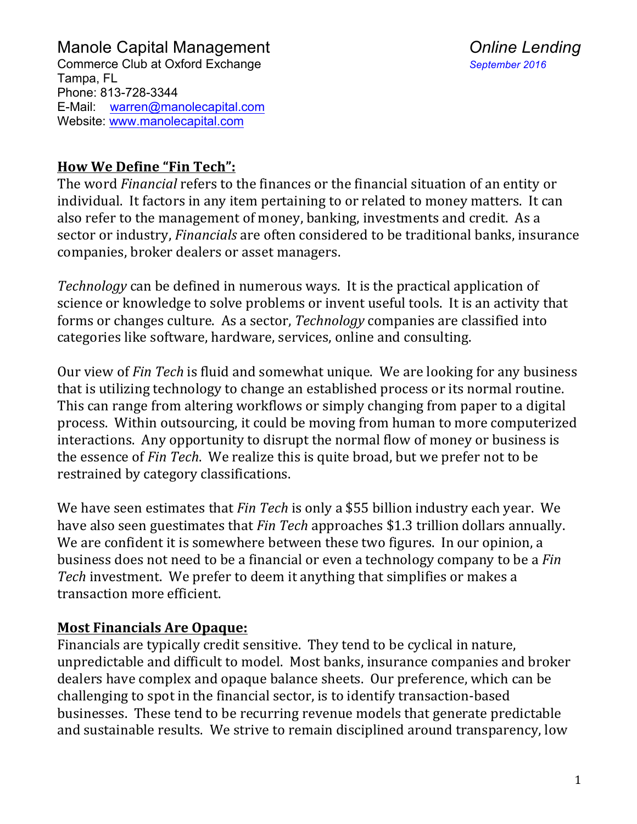

#### **How We Define "Fin Tech":**

The word *Financial* refers to the finances or the financial situation of an entity or individual. It factors in any item pertaining to or related to money matters. It can also refer to the management of money, banking, investments and credit. As a sector or industry, *Financials* are often considered to be traditional banks, insurance companies, broker dealers or asset managers.

*Technology* can be defined in numerous ways. It is the practical application of science or knowledge to solve problems or invent useful tools. It is an activity that forms or changes culture. As a sector, *Technology* companies are classified into categories like software, hardware, services, online and consulting.

Our view of *Fin Tech* is fluid and somewhat unique. We are looking for any business that is utilizing technology to change an established process or its normal routine. This can range from altering workflows or simply changing from paper to a digital process. Within outsourcing, it could be moving from human to more computerized interactions. Any opportunity to disrupt the normal flow of money or business is the essence of *Fin Tech*. We realize this is quite broad, but we prefer not to be restrained by category classifications.

We have seen estimates that *Fin Tech* is only a \$55 billion industry each year. We have also seen guestimates that *Fin Tech* approaches \$1.3 trillion dollars annually. We are confident it is somewhere between these two figures. In our opinion, a business does not need to be a financial or even a technology company to be a *Fin Tech* investment. We prefer to deem it anything that simplifies or makes a transaction more efficient.

#### **Most Financials Are Opaque:**

Financials are typically credit sensitive. They tend to be cyclical in nature, unpredictable and difficult to model. Most banks, insurance companies and broker dealers have complex and opaque balance sheets. Our preference, which can be challenging to spot in the financial sector, is to identify transaction-based businesses. These tend to be recurring revenue models that generate predictable and sustainable results. We strive to remain disciplined around transparency, low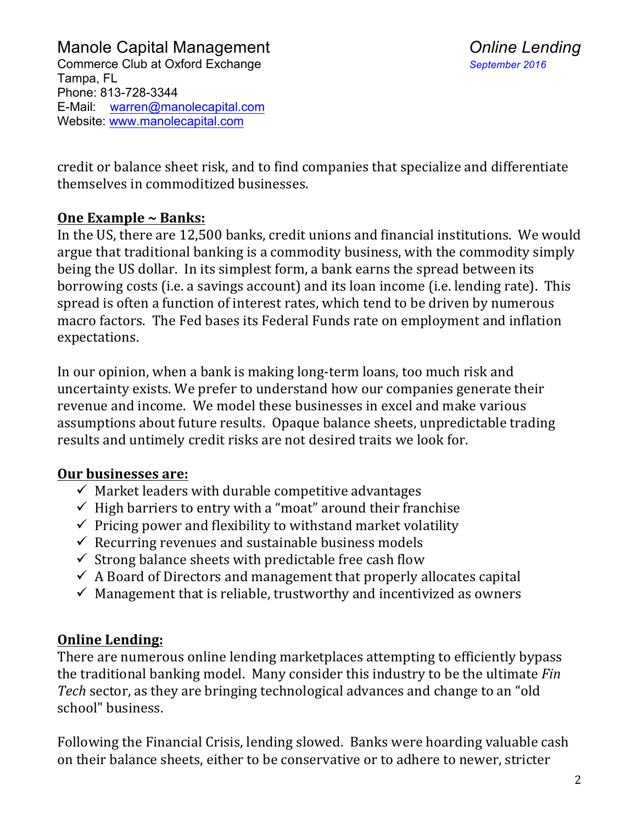credit or balance sheet risk, and to find companies that specialize and differentiate themselves in commoditized businesses.

## **One Example ~ Banks:**

In the US, there are 12,500 banks, credit unions and financial institutions. We would argue that traditional banking is a commodity business, with the commodity simply being the US dollar. In its simplest form, a bank earns the spread between its borrowing costs (i.e. a savings account) and its loan income (i.e. lending rate). This spread is often a function of interest rates, which tend to be driven by numerous macro factors. The Fed bases its Federal Funds rate on employment and inflation expectations. 

In our opinion, when a bank is making long-term loans, too much risk and uncertainty exists. We prefer to understand how our companies generate their revenue and income. We model these businesses in excel and make various assumptions about future results. Opaque balance sheets, unpredictable trading results and untimely credit risks are not desired traits we look for.

## **Our businesses are:**

- $\checkmark$  Market leaders with durable competitive advantages
- $\checkmark$  High barriers to entry with a "moat" around their franchise
- $\checkmark$  Pricing power and flexibility to withstand market volatility
- $\checkmark$  Recurring revenues and sustainable business models
- $\checkmark$  Strong balance sheets with predictable free cash flow
- $\checkmark$  A Board of Directors and management that properly allocates capital
- $\checkmark$  Management that is reliable, trustworthy and incentivized as owners

# **Online Lending:**

There are numerous online lending marketplaces attempting to efficiently bypass the traditional banking model. Many consider this industry to be the ultimate *Fin Tech* sector, as they are bringing technological advances and change to an "old" school" business. 

Following the Financial Crisis, lending slowed. Banks were hoarding valuable cash on their balance sheets, either to be conservative or to adhere to newer, stricter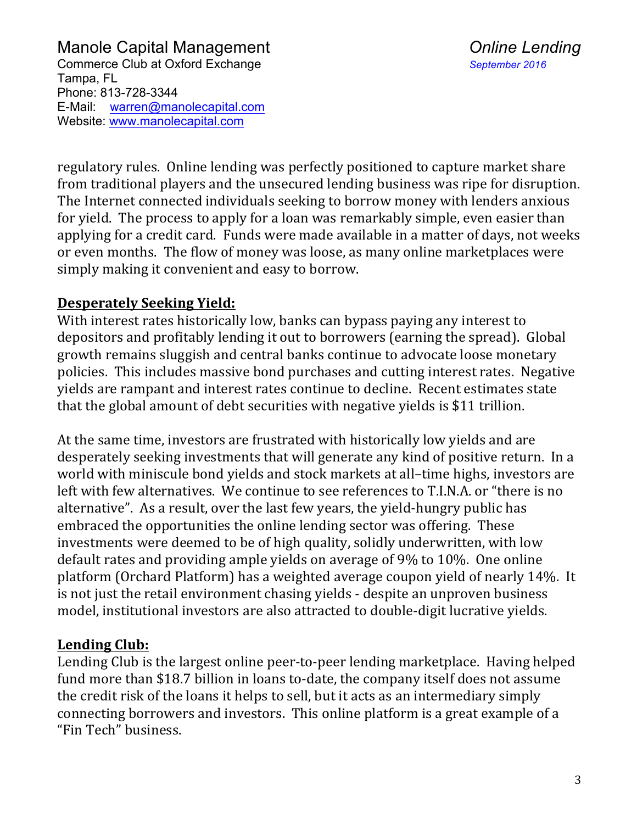regulatory rules. Online lending was perfectly positioned to capture market share from traditional players and the unsecured lending business was ripe for disruption. The Internet connected individuals seeking to borrow money with lenders anxious for vield. The process to apply for a loan was remarkably simple, even easier than applying for a credit card. Funds were made available in a matter of days, not weeks or even months. The flow of money was loose, as many online marketplaces were simply making it convenient and easy to borrow.

### **Desperately Seeking Yield:**

With interest rates historically low, banks can bypass paying any interest to depositors and profitably lending it out to borrowers (earning the spread). Global growth remains sluggish and central banks continue to advocate loose monetary policies. This includes massive bond purchases and cutting interest rates. Negative yields are rampant and interest rates continue to decline. Recent estimates state that the global amount of debt securities with negative yields is \$11 trillion.

At the same time, investors are frustrated with historically low yields and are desperately seeking investments that will generate any kind of positive return. In a world with miniscule bond yields and stock markets at all-time highs, investors are left with few alternatives. We continue to see references to T.I.N.A. or "there is no alternative". As a result, over the last few years, the yield-hungry public has embraced the opportunities the online lending sector was offering. These investments were deemed to be of high quality, solidly underwritten, with low default rates and providing ample yields on average of 9% to 10%. One online platform (Orchard Platform) has a weighted average coupon yield of nearly 14%. It is not just the retail environment chasing yields - despite an unproven business model, institutional investors are also attracted to double-digit lucrative yields.

#### **Lending Club:**

Lending Club is the largest online peer-to-peer lending marketplace. Having helped fund more than \$18.7 billion in loans to-date, the company itself does not assume the credit risk of the loans it helps to sell, but it acts as an intermediary simply connecting borrowers and investors. This online platform is a great example of a "Fin Tech" business.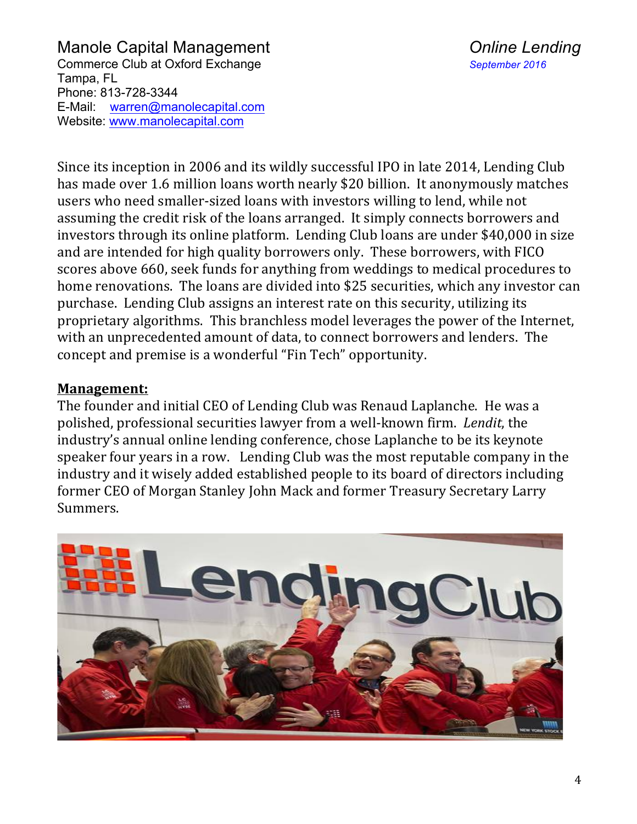Since its inception in 2006 and its wildly successful IPO in late 2014, Lending Club has made over 1.6 million loans worth nearly \$20 billion. It anonymously matches users who need smaller-sized loans with investors willing to lend, while not assuming the credit risk of the loans arranged. It simply connects borrowers and investors through its online platform. Lending Club loans are under \$40,000 in size and are intended for high quality borrowers only. These borrowers, with FICO scores above 660, seek funds for anything from weddings to medical procedures to home renovations. The loans are divided into \$25 securities, which any investor can purchase. Lending Club assigns an interest rate on this security, utilizing its proprietary algorithms. This branchless model leverages the power of the Internet, with an unprecedented amount of data, to connect borrowers and lenders. The concept and premise is a wonderful "Fin Tech" opportunity.

#### **Management:**

The founder and initial CEO of Lending Club was Renaud Laplanche. He was a polished, professional securities lawyer from a well-known firm. Lendit, the industry's annual online lending conference, chose Laplanche to be its keynote speaker four years in a row. Lending Club was the most reputable company in the industry and it wisely added established people to its board of directors including former CEO of Morgan Stanley John Mack and former Treasury Secretary Larry Summers. 

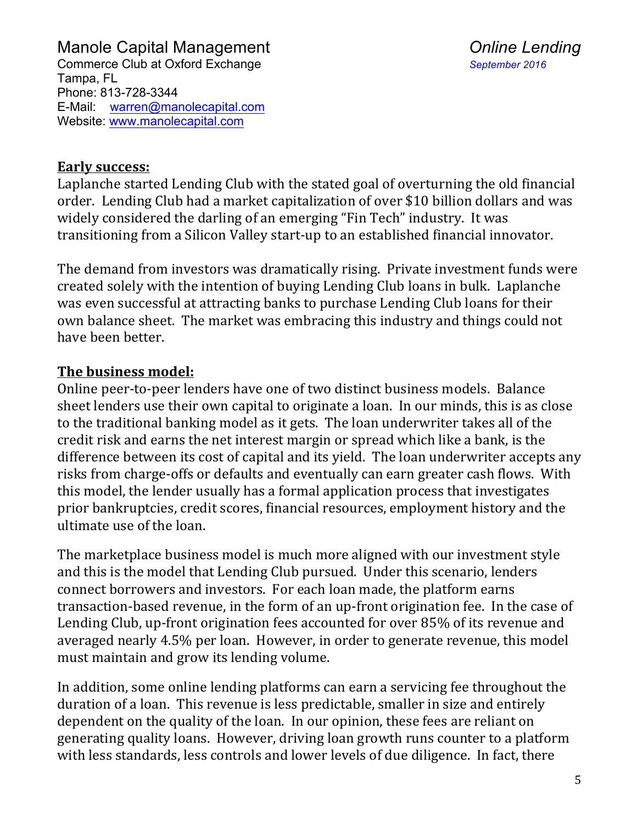#### Early success:

Laplanche started Lending Club with the stated goal of overturning the old financial order. Lending Club had a market capitalization of over \$10 billion dollars and was widely considered the darling of an emerging "Fin Tech" industry. It was transitioning from a Silicon Valley start-up to an established financial innovator.

The demand from investors was dramatically rising. Private investment funds were created solely with the intention of buying Lending Club loans in bulk. Laplanche was even successful at attracting banks to purchase Lending Club loans for their own balance sheet. The market was embracing this industry and things could not have been better.

#### **The business model:**

Online peer-to-peer lenders have one of two distinct business models. Balance sheet lenders use their own capital to originate a loan. In our minds, this is as close to the traditional banking model as it gets. The loan underwriter takes all of the credit risk and earns the net interest margin or spread which like a bank, is the difference between its cost of capital and its yield. The loan underwriter accepts any risks from charge-offs or defaults and eventually can earn greater cash flows. With this model, the lender usually has a formal application process that investigates prior bankruptcies, credit scores, financial resources, employment history and the ultimate use of the loan.

The marketplace business model is much more aligned with our investment style and this is the model that Lending Club pursued. Under this scenario, lenders connect borrowers and investors. For each loan made, the platform earns transaction-based revenue, in the form of an up-front origination fee. In the case of Lending Club, up-front origination fees accounted for over 85% of its revenue and averaged nearly 4.5% per loan. However, in order to generate revenue, this model must maintain and grow its lending volume.

In addition, some online lending platforms can earn a servicing fee throughout the duration of a loan. This revenue is less predictable, smaller in size and entirely dependent on the quality of the loan. In our opinion, these fees are reliant on generating quality loans. However, driving loan growth runs counter to a platform with less standards, less controls and lower levels of due diligence. In fact, there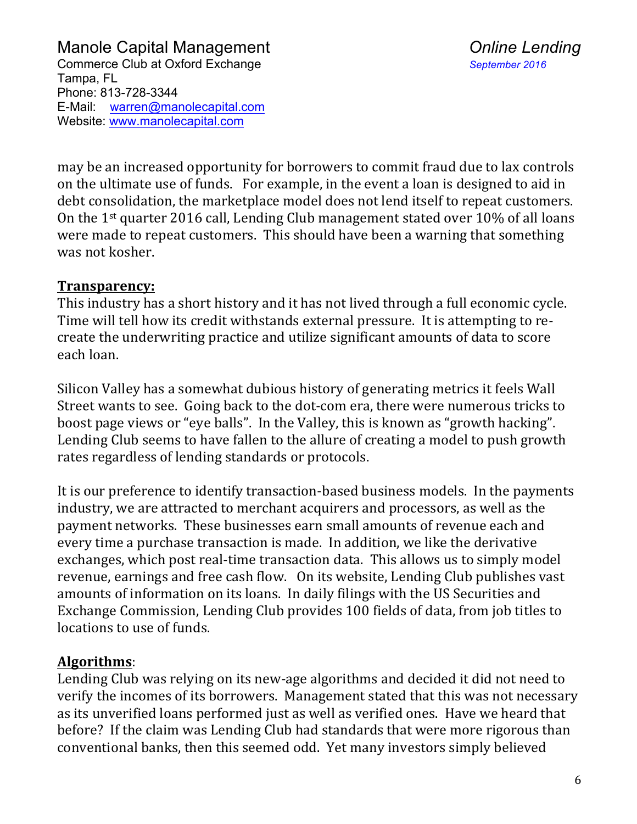may be an increased opportunity for borrowers to commit fraud due to lax controls on the ultimate use of funds. For example, in the event a loan is designed to aid in debt consolidation, the marketplace model does not lend itself to repeat customers. On the  $1<sup>st</sup>$  quarter 2016 call, Lending Club management stated over 10% of all loans were made to repeat customers. This should have been a warning that something was not kosher.

#### **Transparency:**

This industry has a short history and it has not lived through a full economic cycle. Time will tell how its credit withstands external pressure. It is attempting to recreate the underwriting practice and utilize significant amounts of data to score each loan. 

Silicon Valley has a somewhat dubious history of generating metrics it feels Wall Street wants to see. Going back to the dot-com era, there were numerous tricks to boost page views or "eye balls". In the Valley, this is known as "growth hacking". Lending Club seems to have fallen to the allure of creating a model to push growth rates regardless of lending standards or protocols.

It is our preference to identify transaction-based business models. In the payments industry, we are attracted to merchant acquirers and processors, as well as the payment networks. These businesses earn small amounts of revenue each and every time a purchase transaction is made. In addition, we like the derivative exchanges, which post real-time transaction data. This allows us to simply model revenue, earnings and free cash flow. On its website, Lending Club publishes vast amounts of information on its loans. In daily filings with the US Securities and Exchange Commission, Lending Club provides 100 fields of data, from job titles to locations to use of funds.

#### **Algorithms**:

Lending Club was relying on its new-age algorithms and decided it did not need to verify the incomes of its borrowers. Management stated that this was not necessary as its unverified loans performed just as well as verified ones. Have we heard that before? If the claim was Lending Club had standards that were more rigorous than conventional banks, then this seemed odd. Yet many investors simply believed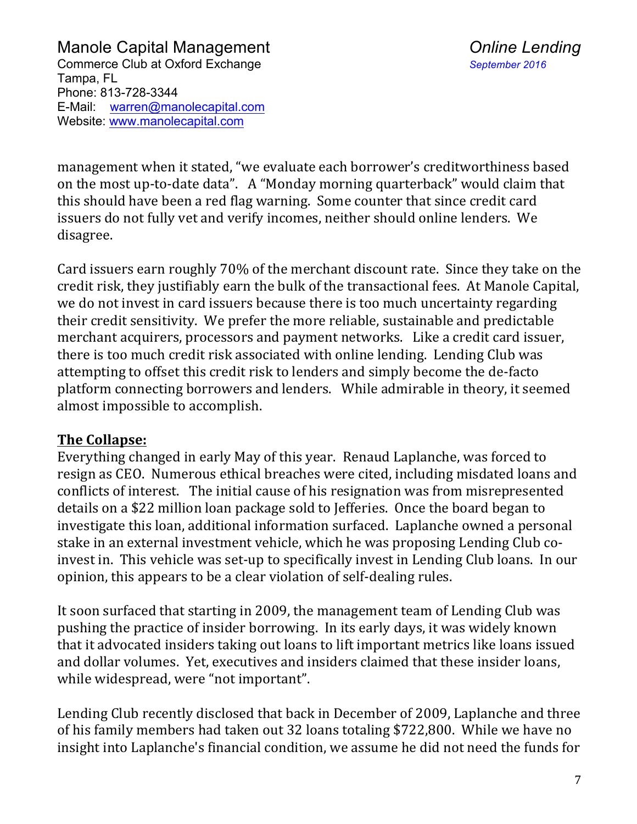management when it stated, "we evaluate each borrower's creditworthiness based on the most up-to-date data". A "Monday morning quarterback" would claim that this should have been a red flag warning. Some counter that since credit card issuers do not fully vet and verify incomes, neither should online lenders. We disagree. 

Card issuers earn roughly 70% of the merchant discount rate. Since they take on the credit risk, they justifiably earn the bulk of the transactional fees. At Manole Capital, we do not invest in card issuers because there is too much uncertainty regarding their credit sensitivity. We prefer the more reliable, sustainable and predictable merchant acquirers, processors and payment networks. Like a credit card issuer, there is too much credit risk associated with online lending. Lending Club was attempting to offset this credit risk to lenders and simply become the de-facto platform connecting borrowers and lenders. While admirable in theory, it seemed almost impossible to accomplish.

#### **The Collapse:**

Everything changed in early May of this year. Renaud Laplanche, was forced to resign as CEO. Numerous ethical breaches were cited, including misdated loans and conflicts of interest. The initial cause of his resignation was from misrepresented details on a \$22 million loan package sold to Jefferies. Once the board began to investigate this loan, additional information surfaced. Laplanche owned a personal stake in an external investment vehicle, which he was proposing Lending Club coinvest in. This vehicle was set-up to specifically invest in Lending Club loans. In our opinion, this appears to be a clear violation of self-dealing rules.

It soon surfaced that starting in 2009, the management team of Lending Club was pushing the practice of insider borrowing. In its early days, it was widely known that it advocated insiders taking out loans to lift important metrics like loans issued and dollar volumes. Yet, executives and insiders claimed that these insider loans, while widespread, were "not important".

Lending Club recently disclosed that back in December of 2009, Laplanche and three of his family members had taken out 32 loans totaling \$722,800. While we have no insight into Laplanche's financial condition, we assume he did not need the funds for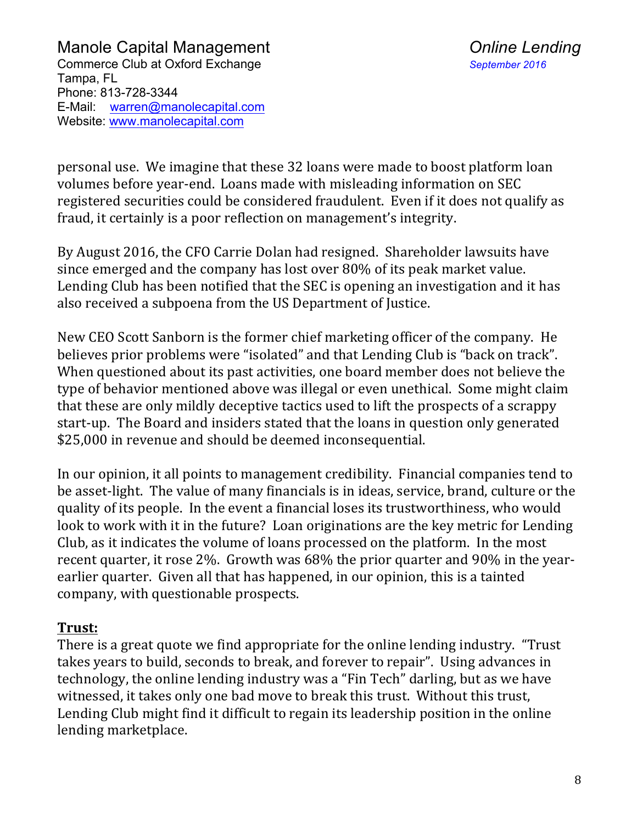personal use. We imagine that these 32 loans were made to boost platform loan volumes before year-end. Loans made with misleading information on SEC registered securities could be considered fraudulent. Even if it does not qualify as fraud, it certainly is a poor reflection on management's integrity.

By August 2016, the CFO Carrie Dolan had resigned. Shareholder lawsuits have since emerged and the company has lost over 80% of its peak market value. Lending Club has been notified that the SEC is opening an investigation and it has also received a subpoena from the US Department of Justice.

New CEO Scott Sanborn is the former chief marketing officer of the company. He believes prior problems were "isolated" and that Lending Club is "back on track". When questioned about its past activities, one board member does not believe the type of behavior mentioned above was illegal or even unethical. Some might claim that these are only mildly deceptive tactics used to lift the prospects of a scrappy start-up. The Board and insiders stated that the loans in question only generated \$25,000 in revenue and should be deemed inconsequential.

In our opinion, it all points to management credibility. Financial companies tend to be asset-light. The value of many financials is in ideas, service, brand, culture or the quality of its people. In the event a financial loses its trustworthiness, who would look to work with it in the future? Loan originations are the key metric for Lending Club, as it indicates the volume of loans processed on the platform. In the most recent quarter, it rose  $2\%$ . Growth was  $68\%$  the prior quarter and  $90\%$  in the yearearlier quarter. Given all that has happened, in our opinion, this is a tainted company, with questionable prospects.

#### **Trust:**

There is a great quote we find appropriate for the online lending industry. "Trust takes years to build, seconds to break, and forever to repair". Using advances in technology, the online lending industry was a "Fin Tech" darling, but as we have witnessed, it takes only one bad move to break this trust. Without this trust, Lending Club might find it difficult to regain its leadership position in the online lending marketplace.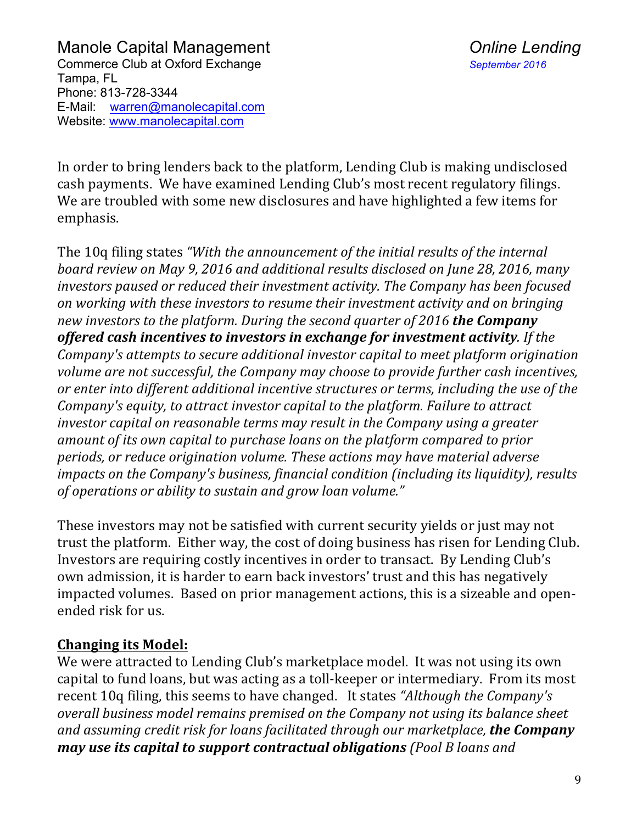In order to bring lenders back to the platform, Lending Club is making undisclosed cash payments. We have examined Lending Club's most recent regulatory filings. We are troubled with some new disclosures and have highlighted a few items for emphasis. 

The 10q filing states "With the announcement of the initial results of the internal board review on May 9, 2016 and additional results disclosed on June 28, 2016, many *investors paused or reduced their investment activity. The Company has been focused* on working with these investors to resume their investment activity and on bringing *new investors to the platform. During the second quarter of 2016 the Company offered cash incentives to investors in exchange for investment activity.* **If the** *Company's attempts to secure additional investor capital to meet platform origination* volume are not successful, the Company may choose to provide further cash incentives, or enter into different additional incentive structures or terms, including the use of the *Company's equity, to attract investor capital to the platform. Failure to attract investor* capital on reasonable *terms* may result in the Company using a greater amount of its own capital to purchase loans on the platform compared to prior *periods, or reduce origination volume. These actions may have material adverse impacts on the Company's business, financial condition (including its liquidity), results* of operations or ability to sustain and grow loan volume."

These investors may not be satisfied with current security yields or just may not trust the platform. Either way, the cost of doing business has risen for Lending Club. Investors are requiring costly incentives in order to transact. By Lending Club's own admission, it is harder to earn back investors' trust and this has negatively impacted volumes. Based on prior management actions, this is a sizeable and openended risk for us.

#### **Changing its Model:**

We were attracted to Lending Club's marketplace model. It was not using its own capital to fund loans, but was acting as a toll-keeper or intermediary. From its most recent 10q filing, this seems to have changed. It states "Although the Company's *overall business model remains premised on the Company not using its balance sheet* and assuming credit risk for loans facilitated through our marketplace, **the Company** *may use its capital to support contractual obligations* (Pool B loans and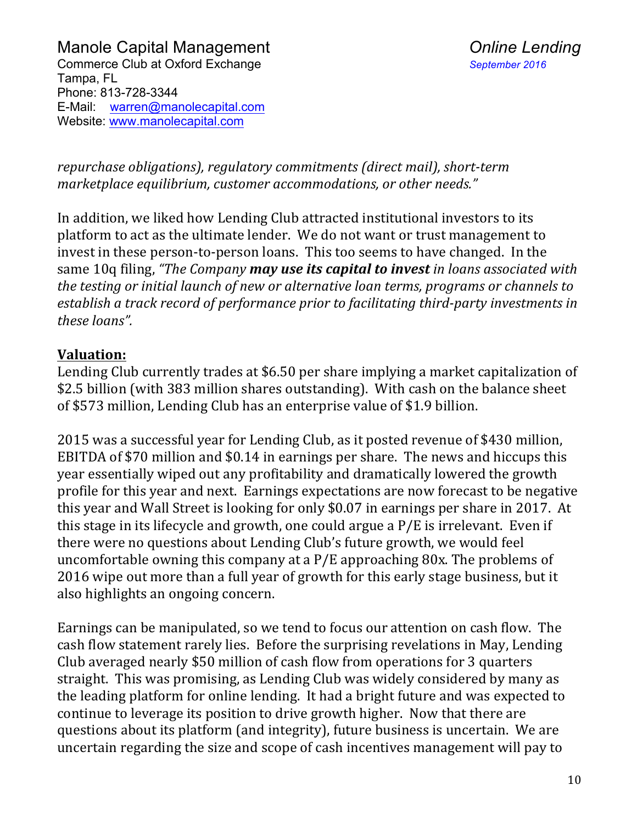*repurchase obligations), regulatory commitments (direct mail), short-term marketplace equilibrium, customer accommodations, or other needs."* 

In addition, we liked how Lending Club attracted institutional investors to its platform to act as the ultimate lender. We do not want or trust management to invest in these person-to-person loans. This too seems to have changed. In the same 10q filing, "The Company **may use its capital to invest** in loans associated with *the testing or initial launch of new or alternative loan terms, programs or channels to* establish a track record of performance prior to facilitating third-party investments in *these loans".*

### **Valuation:**

Lending Club currently trades at \$6.50 per share implying a market capitalization of \$2.5 billion (with 383 million shares outstanding). With cash on the balance sheet of \$573 million, Lending Club has an enterprise value of \$1.9 billion.

2015 was a successful year for Lending Club, as it posted revenue of \$430 million, EBITDA of \$70 million and \$0.14 in earnings per share. The news and hiccups this year essentially wiped out any profitability and dramatically lowered the growth profile for this year and next. Earnings expectations are now forecast to be negative this year and Wall Street is looking for only  $$0.07$  in earnings per share in 2017. At this stage in its lifecycle and growth, one could argue a  $P/E$  is irrelevant. Even if there were no questions about Lending Club's future growth, we would feel uncomfortable owning this company at a  $P/E$  approaching 80x. The problems of 2016 wipe out more than a full year of growth for this early stage business, but it also highlights an ongoing concern.

Earnings can be manipulated, so we tend to focus our attention on cash flow. The cash flow statement rarely lies. Before the surprising revelations in May, Lending Club averaged nearly \$50 million of cash flow from operations for 3 quarters straight. This was promising, as Lending Club was widely considered by many as the leading platform for online lending. It had a bright future and was expected to continue to leverage its position to drive growth higher. Now that there are questions about its platform (and integrity), future business is uncertain. We are uncertain regarding the size and scope of cash incentives management will pay to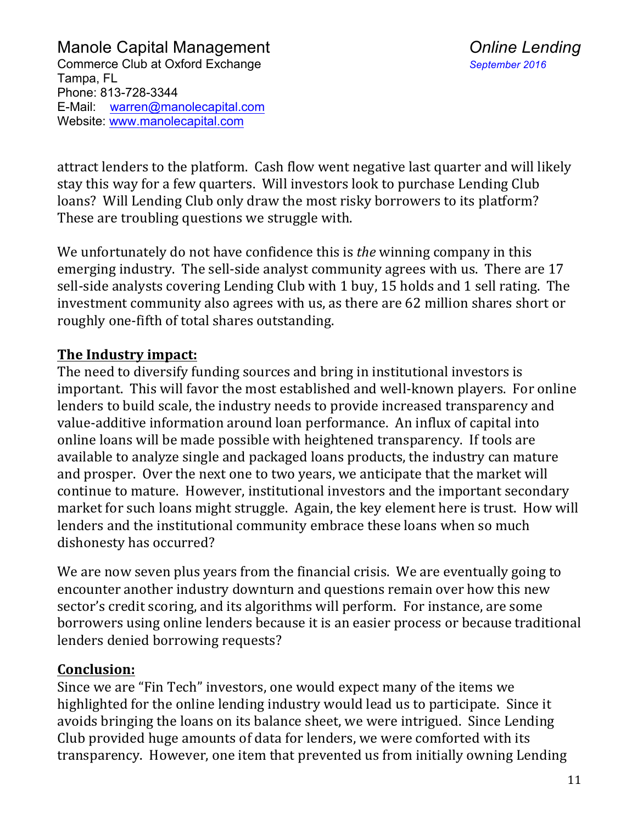attract lenders to the platform. Cash flow went negative last quarter and will likely stay this way for a few quarters. Will investors look to purchase Lending Club loans? Will Lending Club only draw the most risky borrowers to its platform? These are troubling questions we struggle with.

We unfortunately do not have confidence this is *the* winning company in this emerging industry. The sell-side analyst community agrees with us. There are 17 sell-side analysts covering Lending Club with 1 buy, 15 holds and 1 sell rating. The investment community also agrees with us, as there are 62 million shares short or roughly one-fifth of total shares outstanding.

#### **The Industry impact:**

The need to diversify funding sources and bring in institutional investors is important. This will favor the most established and well-known players. For online lenders to build scale, the industry needs to provide increased transparency and value-additive information around loan performance. An influx of capital into online loans will be made possible with heightened transparency. If tools are available to analyze single and packaged loans products, the industry can mature and prosper. Over the next one to two years, we anticipate that the market will continue to mature. However, institutional investors and the important secondary market for such loans might struggle. Again, the key element here is trust. How will lenders and the institutional community embrace these loans when so much dishonesty has occurred?

We are now seven plus years from the financial crisis. We are eventually going to encounter another industry downturn and questions remain over how this new sector's credit scoring, and its algorithms will perform. For instance, are some borrowers using online lenders because it is an easier process or because traditional lenders denied borrowing requests?

#### **Conclusion:**

Since we are "Fin Tech" investors, one would expect many of the items we highlighted for the online lending industry would lead us to participate. Since it avoids bringing the loans on its balance sheet, we were intrigued. Since Lending Club provided huge amounts of data for lenders, we were comforted with its transparency. However, one item that prevented us from initially owning Lending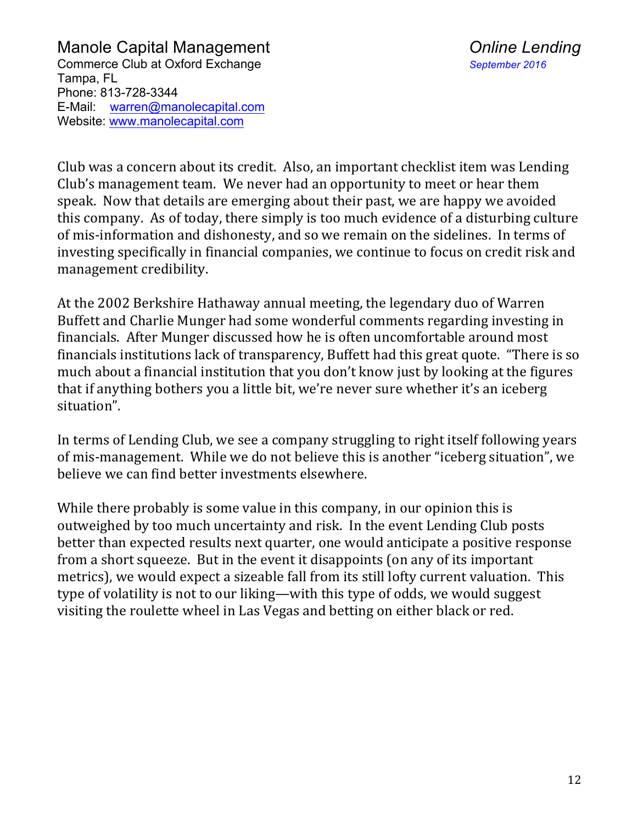Club was a concern about its credit. Also, an important checklist item was Lending Club's management team. We never had an opportunity to meet or hear them speak. Now that details are emerging about their past, we are happy we avoided this company. As of today, there simply is too much evidence of a disturbing culture of mis-information and dishonesty, and so we remain on the sidelines. In terms of investing specifically in financial companies, we continue to focus on credit risk and management credibility.

At the 2002 Berkshire Hathaway annual meeting, the legendary duo of Warren Buffett and Charlie Munger had some wonderful comments regarding investing in financials. After Munger discussed how he is often uncomfortable around most financials institutions lack of transparency, Buffett had this great quote. "There is so much about a financial institution that you don't know just by looking at the figures that if anything bothers you a little bit, we're never sure whether it's an iceberg situation".

In terms of Lending Club, we see a company struggling to right itself following years of mis-management. While we do not believe this is another "iceberg situation", we believe we can find better investments elsewhere.

While there probably is some value in this company, in our opinion this is outweighed by too much uncertainty and risk. In the event Lending Club posts better than expected results next quarter, one would anticipate a positive response from a short squeeze. But in the event it disappoints (on any of its important metrics), we would expect a sizeable fall from its still lofty current valuation. This type of volatility is not to our liking—with this type of odds, we would suggest visiting the roulette wheel in Las Vegas and betting on either black or red.